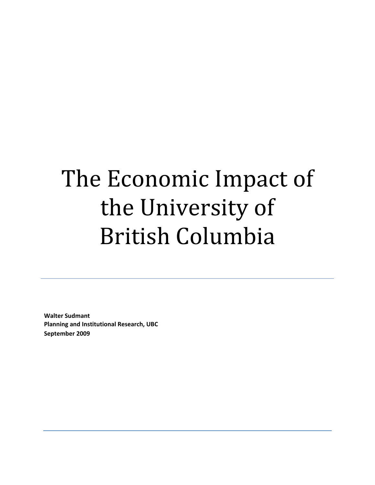# The Economic Impact of the University of British Columbia

**Walter Sudmant Planning and Institutional Research, UBC September 2009**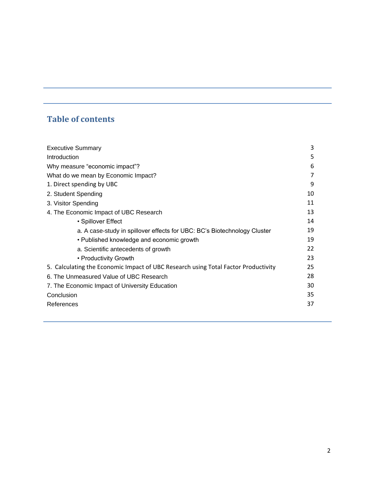# **Table of contents**

| <b>Executive Summary</b>                                                           | 3  |
|------------------------------------------------------------------------------------|----|
| Introduction                                                                       | 5  |
| Why measure "economic impact"?                                                     | 6  |
| What do we mean by Economic Impact?                                                |    |
| 1. Direct spending by UBC                                                          | 9  |
| 2. Student Spending                                                                | 10 |
| 3. Visitor Spending                                                                | 11 |
| 4. The Economic Impact of UBC Research                                             | 13 |
| • Spillover Effect                                                                 | 14 |
| a. A case-study in spillover effects for UBC: BC's Biotechnology Cluster           | 19 |
| • Published knowledge and economic growth                                          | 19 |
| a. Scientific antecedents of growth                                                | 22 |
| • Productivity Growth                                                              | 23 |
| 5. Calculating the Economic Impact of UBC Research using Total Factor Productivity | 25 |
| 6. The Unmeasured Value of UBC Research                                            | 28 |
| 7. The Economic Impact of University Education                                     | 30 |
| Conclusion                                                                         | 35 |
| References                                                                         | 37 |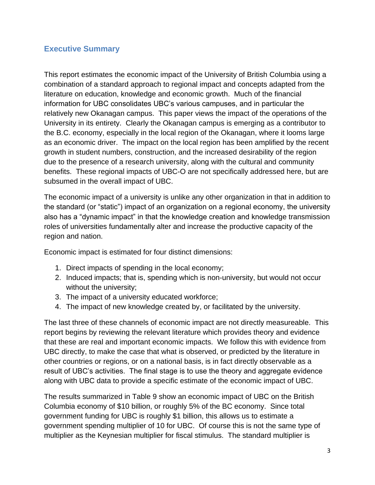### **Executive Summary**

This report estimates the economic impact of the University of British Columbia using a combination of a standard approach to regional impact and concepts adapted from the literature on education, knowledge and economic growth. Much of the financial information for UBC consolidates UBC's various campuses, and in particular the relatively new Okanagan campus. This paper views the impact of the operations of the University in its entirety. Clearly the Okanagan campus is emerging as a contributor to the B.C. economy, especially in the local region of the Okanagan, where it looms large as an economic driver. The impact on the local region has been amplified by the recent growth in student numbers, construction, and the increased desirability of the region due to the presence of a research university, along with the cultural and community benefits. These regional impacts of UBC-O are not specifically addressed here, but are subsumed in the overall impact of UBC.

The economic impact of a university is unlike any other organization in that in addition to the standard (or "static") impact of an organization on a regional economy, the university also has a "dynamic impact" in that the knowledge creation and knowledge transmission roles of universities fundamentally alter and increase the productive capacity of the region and nation.

Economic impact is estimated for four distinct dimensions:

- 1. Direct impacts of spending in the local economy;
- 2. Induced impacts; that is, spending which is non-university, but would not occur without the university;
- 3. The impact of a university educated workforce;
- 4. The impact of new knowledge created by, or facilitated by the university.

The last three of these channels of economic impact are not directly measureable. This report begins by reviewing the relevant literature which provides theory and evidence that these are real and important economic impacts. We follow this with evidence from UBC directly, to make the case that what is observed, or predicted by the literature in other countries or regions, or on a national basis, is in fact directly observable as a result of UBC's activities. The final stage is to use the theory and aggregate evidence along with UBC data to provide a specific estimate of the economic impact of UBC.

The results summarized in Table 9 show an economic impact of UBC on the British Columbia economy of \$10 billion, or roughly 5% of the BC economy. Since total government funding for UBC is roughly \$1 billion, this allows us to estimate a government spending multiplier of 10 for UBC. Of course this is not the same type of multiplier as the Keynesian multiplier for fiscal stimulus. The standard multiplier is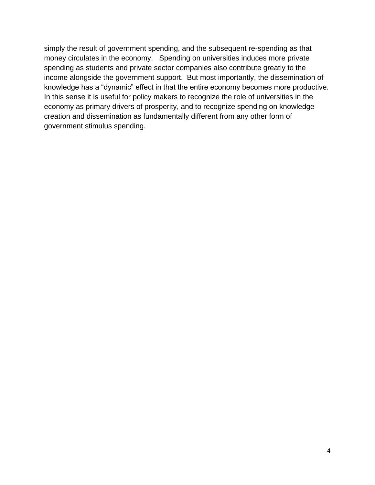simply the result of government spending, and the subsequent re-spending as that money circulates in the economy. Spending on universities induces more private spending as students and private sector companies also contribute greatly to the income alongside the government support. But most importantly, the dissemination of knowledge has a "dynamic" effect in that the entire economy becomes more productive. In this sense it is useful for policy makers to recognize the role of universities in the economy as primary drivers of prosperity, and to recognize spending on knowledge creation and dissemination as fundamentally different from any other form of government stimulus spending.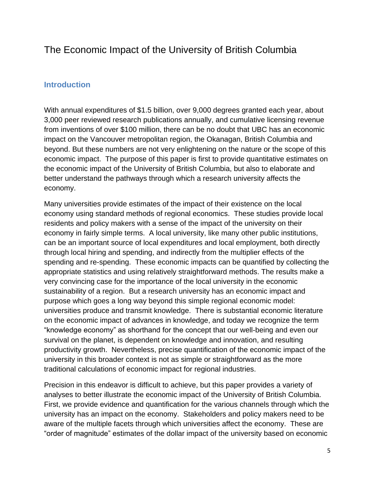# The Economic Impact of the University of British Columbia

#### **Introduction**

With annual expenditures of \$1.5 billion, over 9,000 degrees granted each year, about 3,000 peer reviewed research publications annually, and cumulative licensing revenue from inventions of over \$100 million, there can be no doubt that UBC has an economic impact on the Vancouver metropolitan region, the Okanagan, British Columbia and beyond. But these numbers are not very enlightening on the nature or the scope of this economic impact. The purpose of this paper is first to provide quantitative estimates on the economic impact of the University of British Columbia, but also to elaborate and better understand the pathways through which a research university affects the economy.

Many universities provide estimates of the impact of their existence on the local economy using standard methods of regional economics. These studies provide local residents and policy makers with a sense of the impact of the university on their economy in fairly simple terms. A local university, like many other public institutions, can be an important source of local expenditures and local employment, both directly through local hiring and spending, and indirectly from the multiplier effects of the spending and re-spending. These economic impacts can be quantified by collecting the appropriate statistics and using relatively straightforward methods. The results make a very convincing case for the importance of the local university in the economic sustainability of a region. But a research university has an economic impact and purpose which goes a long way beyond this simple regional economic model: universities produce and transmit knowledge. There is substantial economic literature on the economic impact of advances in knowledge, and today we recognize the term "knowledge economy" as shorthand for the concept that our well-being and even our survival on the planet, is dependent on knowledge and innovation, and resulting productivity growth. Nevertheless, precise quantification of the economic impact of the university in this broader context is not as simple or straightforward as the more traditional calculations of economic impact for regional industries.

Precision in this endeavor is difficult to achieve, but this paper provides a variety of analyses to better illustrate the economic impact of the University of British Columbia. First, we provide evidence and quantification for the various channels through which the university has an impact on the economy. Stakeholders and policy makers need to be aware of the multiple facets through which universities affect the economy. These are "order of magnitude" estimates of the dollar impact of the university based on economic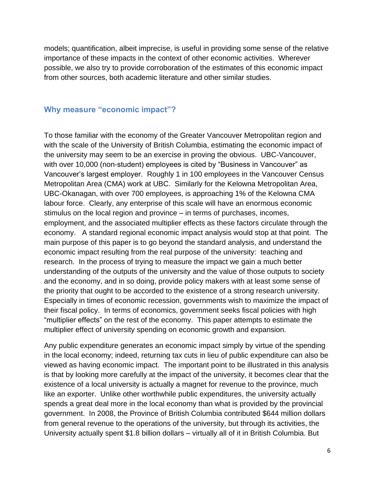models; quantification, albeit imprecise, is useful in providing some sense of the relative importance of these impacts in the context of other economic activities. Wherever possible, we also try to provide corroboration of the estimates of this economic impact from other sources, both academic literature and other similar studies.

#### **Why measure "economic impact"?**

To those familiar with the economy of the Greater Vancouver Metropolitan region and with the scale of the University of British Columbia, estimating the economic impact of the university may seem to be an exercise in proving the obvious. UBC-Vancouver, with over 10,000 (non-student) employees is cited by "Business in Vancouver" as Vancouver's largest employer. Roughly 1 in 100 employees in the Vancouver Census Metropolitan Area (CMA) work at UBC. Similarly for the Kelowna Metropolitan Area, UBC-Okanagan, with over 700 employees, is approaching 1% of the Kelowna CMA labour force. Clearly, any enterprise of this scale will have an enormous economic stimulus on the local region and province – in terms of purchases, incomes, employment, and the associated multiplier effects as these factors circulate through the economy. A standard regional economic impact analysis would stop at that point. The main purpose of this paper is to go beyond the standard analysis, and understand the economic impact resulting from the real purpose of the university: teaching and research. In the process of trying to measure the impact we gain a much better understanding of the outputs of the university and the value of those outputs to society and the economy, and in so doing, provide policy makers with at least some sense of the priority that ought to be accorded to the existence of a strong research university. Especially in times of economic recession, governments wish to maximize the impact of their fiscal policy. In terms of economics, government seeks fiscal policies with high "multiplier effects" on the rest of the economy. This paper attempts to estimate the multiplier effect of university spending on economic growth and expansion.

Any public expenditure generates an economic impact simply by virtue of the spending in the local economy; indeed, returning tax cuts in lieu of public expenditure can also be viewed as having economic impact. The important point to be illustrated in this analysis is that by looking more carefully at the impact of the university, it becomes clear that the existence of a local university is actually a magnet for revenue to the province, much like an exporter. Unlike other worthwhile public expenditures, the university actually spends a great deal more in the local economy than what is provided by the provincial government. In 2008, the Province of British Columbia contributed \$644 million dollars from general revenue to the operations of the university, but through its activities, the University actually spent \$1.8 billion dollars – virtually all of it in British Columbia. But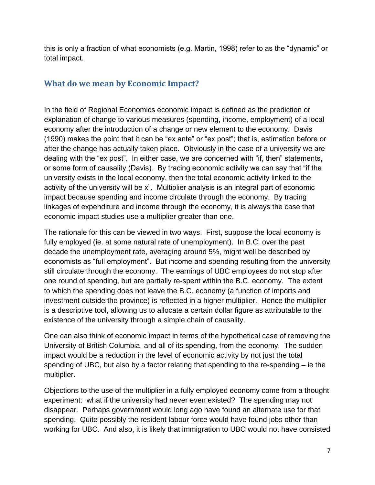this is only a fraction of what economists (e.g. Martin, 1998) refer to as the "dynamic" or total impact.

# **What do we mean by Economic Impact?**

In the field of Regional Economics economic impact is defined as the prediction or explanation of change to various measures (spending, income, employment) of a local economy after the introduction of a change or new element to the economy. Davis (1990) makes the point that it can be "ex ante" or "ex post"; that is, estimation before or after the change has actually taken place. Obviously in the case of a university we are dealing with the "ex post". In either case, we are concerned with "if, then" statements, or some form of causality (Davis). By tracing economic activity we can say that "if the university exists in the local economy, then the total economic activity linked to the activity of the university will be x". Multiplier analysis is an integral part of economic impact because spending and income circulate through the economy. By tracing linkages of expenditure and income through the economy, it is always the case that economic impact studies use a multiplier greater than one.

The rationale for this can be viewed in two ways. First, suppose the local economy is fully employed (ie. at some natural rate of unemployment). In B.C. over the past decade the unemployment rate, averaging around 5%, might well be described by economists as "full employment". But income and spending resulting from the university still circulate through the economy. The earnings of UBC employees do not stop after one round of spending, but are partially re-spent within the B.C. economy. The extent to which the spending does not leave the B.C. economy (a function of imports and investment outside the province) is reflected in a higher multiplier. Hence the multiplier is a descriptive tool, allowing us to allocate a certain dollar figure as attributable to the existence of the university through a simple chain of causality.

One can also think of economic impact in terms of the hypothetical case of removing the University of British Columbia, and all of its spending, from the economy. The sudden impact would be a reduction in the level of economic activity by not just the total spending of UBC, but also by a factor relating that spending to the re-spending – ie the multiplier.

Objections to the use of the multiplier in a fully employed economy come from a thought experiment: what if the university had never even existed? The spending may not disappear. Perhaps government would long ago have found an alternate use for that spending. Quite possibly the resident labour force would have found jobs other than working for UBC. And also, it is likely that immigration to UBC would not have consisted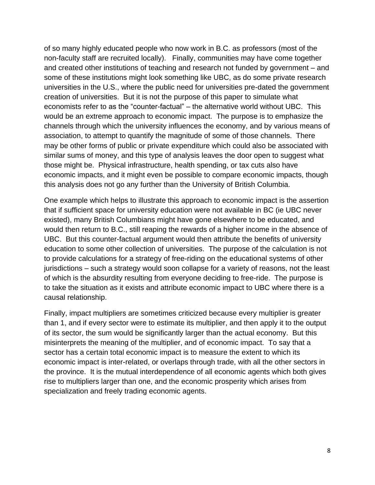of so many highly educated people who now work in B.C. as professors (most of the non-faculty staff are recruited locally). Finally, communities may have come together and created other institutions of teaching and research not funded by government – and some of these institutions might look something like UBC, as do some private research universities in the U.S., where the public need for universities pre-dated the government creation of universities. But it is not the purpose of this paper to simulate what economists refer to as the "counter-factual" – the alternative world without UBC. This would be an extreme approach to economic impact. The purpose is to emphasize the channels through which the university influences the economy, and by various means of association, to attempt to quantify the magnitude of some of those channels. There may be other forms of public or private expenditure which could also be associated with similar sums of money, and this type of analysis leaves the door open to suggest what those might be. Physical infrastructure, health spending, or tax cuts also have economic impacts, and it might even be possible to compare economic impacts, though this analysis does not go any further than the University of British Columbia.

One example which helps to illustrate this approach to economic impact is the assertion that if sufficient space for university education were not available in BC (ie UBC never existed), many British Columbians might have gone elsewhere to be educated, and would then return to B.C., still reaping the rewards of a higher income in the absence of UBC. But this counter-factual argument would then attribute the benefits of university education to some other collection of universities. The purpose of the calculation is not to provide calculations for a strategy of free-riding on the educational systems of other jurisdictions – such a strategy would soon collapse for a variety of reasons, not the least of which is the absurdity resulting from everyone deciding to free-ride. The purpose is to take the situation as it exists and attribute economic impact to UBC where there is a causal relationship.

Finally, impact multipliers are sometimes criticized because every multiplier is greater than 1, and if every sector were to estimate its multiplier, and then apply it to the output of its sector, the sum would be significantly larger than the actual economy. But this misinterprets the meaning of the multiplier, and of economic impact. To say that a sector has a certain total economic impact is to measure the extent to which its economic impact is inter-related, or overlaps through trade, with all the other sectors in the province. It is the mutual interdependence of all economic agents which both gives rise to multipliers larger than one, and the economic prosperity which arises from specialization and freely trading economic agents.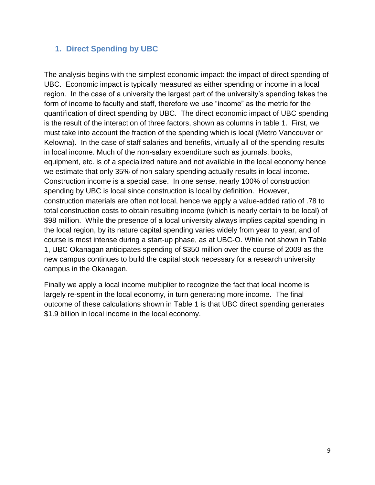# **1. Direct Spending by UBC**

The analysis begins with the simplest economic impact: the impact of direct spending of UBC. Economic impact is typically measured as either spending or income in a local region. In the case of a university the largest part of the university's spending takes the form of income to faculty and staff, therefore we use "income" as the metric for the quantification of direct spending by UBC. The direct economic impact of UBC spending is the result of the interaction of three factors, shown as columns in table 1. First, we must take into account the fraction of the spending which is local (Metro Vancouver or Kelowna). In the case of staff salaries and benefits, virtually all of the spending results in local income. Much of the non-salary expenditure such as journals, books, equipment, etc. is of a specialized nature and not available in the local economy hence we estimate that only 35% of non-salary spending actually results in local income. Construction income is a special case. In one sense, nearly 100% of construction spending by UBC is local since construction is local by definition. However, construction materials are often not local, hence we apply a value-added ratio of .78 to total construction costs to obtain resulting income (which is nearly certain to be local) of \$98 million. While the presence of a local university always implies capital spending in the local region, by its nature capital spending varies widely from year to year, and of course is most intense during a start-up phase, as at UBC-O. While not shown in Table 1, UBC Okanagan anticipates spending of \$350 million over the course of 2009 as the new campus continues to build the capital stock necessary for a research university campus in the Okanagan.

Finally we apply a local income multiplier to recognize the fact that local income is largely re-spent in the local economy, in turn generating more income. The final outcome of these calculations shown in Table 1 is that UBC direct spending generates \$1.9 billion in local income in the local economy.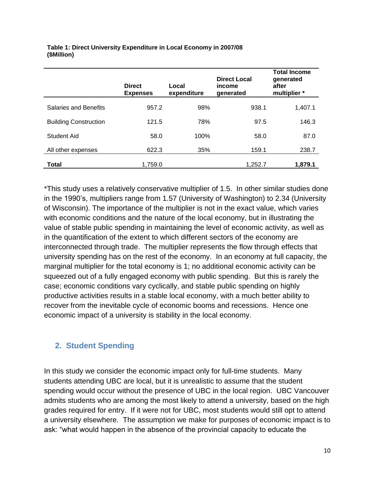|                              | <b>Direct</b><br><b>Expenses</b> | Local<br>expenditure | <b>Direct Local</b><br>income<br>generated | <b>Total Income</b><br>generated<br>after<br>multiplier * |
|------------------------------|----------------------------------|----------------------|--------------------------------------------|-----------------------------------------------------------|
| Salaries and Benefits        | 957.2                            | 98%                  | 938.1                                      | 1,407.1                                                   |
| <b>Building Construction</b> | 121.5                            | 78%                  | 97.5                                       | 146.3                                                     |
| Student Aid                  | 58.0                             | 100%                 | 58.0                                       | 87.0                                                      |
| All other expenses           | 622.3                            | 35%                  | 159.1                                      | 238.7                                                     |
| Total                        | 1,759.0                          |                      | 1,252.7                                    | 1,879.1                                                   |

#### **Table 1: Direct University Expenditure in Local Economy in 2007/08 (\$Million)**

\*This study uses a relatively conservative multiplier of 1.5. In other similar studies done in the 1990's, multipliers range from 1.57 (University of Washington) to 2.34 (University of Wisconsin). The importance of the multiplier is not in the exact value, which varies with economic conditions and the nature of the local economy, but in illustrating the value of stable public spending in maintaining the level of economic activity, as well as in the quantification of the extent to which different sectors of the economy are interconnected through trade. The multiplier represents the flow through effects that university spending has on the rest of the economy. In an economy at full capacity, the marginal multiplier for the total economy is 1; no additional economic activity can be squeezed out of a fully engaged economy with public spending. But this is rarely the case; economic conditions vary cyclically, and stable public spending on highly productive activities results in a stable local economy, with a much better ability to recover from the inevitable cycle of economic booms and recessions. Hence one economic impact of a university is stability in the local economy.

### **2. Student Spending**

In this study we consider the economic impact only for full-time students. Many students attending UBC are local, but it is unrealistic to assume that the student spending would occur without the presence of UBC in the local region. UBC Vancouver admits students who are among the most likely to attend a university, based on the high grades required for entry. If it were not for UBC, most students would still opt to attend a university elsewhere. The assumption we make for purposes of economic impact is to ask: "what would happen in the absence of the provincial capacity to educate the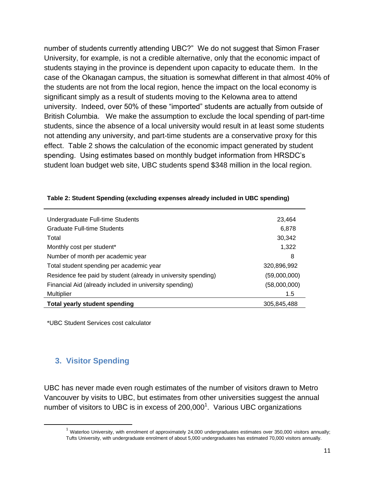number of students currently attending UBC?" We do not suggest that Simon Fraser University, for example, is not a credible alternative, only that the economic impact of students staying in the province is dependent upon capacity to educate them. In the case of the Okanagan campus, the situation is somewhat different in that almost 40% of the students are not from the local region, hence the impact on the local economy is significant simply as a result of students moving to the Kelowna area to attend university. Indeed, over 50% of these "imported" students are actually from outside of British Columbia. We make the assumption to exclude the local spending of part-time students, since the absence of a local university would result in at least some students not attending any university, and part-time students are a conservative proxy for this effect. Table 2 shows the calculation of the economic impact generated by student spending. Using estimates based on monthly budget information from HRSDC's student loan budget web site, UBC students spend \$348 million in the local region.

| Undergraduate Full-time Students                               | 23,464       |
|----------------------------------------------------------------|--------------|
| Graduate Full-time Students                                    | 6,878        |
| Total                                                          | 30,342       |
| Monthly cost per student*                                      | 1,322        |
| Number of month per academic year                              | 8            |
| Total student spending per academic year                       | 320,896,992  |
| Residence fee paid by student (already in university spending) | (59,000,000) |
| Financial Aid (already included in university spending)        | (58,000,000) |
| <b>Multiplier</b>                                              | 1.5          |
| <b>Total yearly student spending</b>                           | 305.845.488  |

| Table 2: Student Spending (excluding expenses already included in UBC spending) |  |
|---------------------------------------------------------------------------------|--|
|---------------------------------------------------------------------------------|--|

\*UBC Student Services cost calculator

# **3. Visitor Spending**

 $\overline{\phantom{a}}$ 

UBC has never made even rough estimates of the number of visitors drawn to Metro Vancouver by visits to UBC, but estimates from other universities suggest the annual number of visitors to UBC is in excess of  $200,000$ <sup>1</sup>. Various UBC organizations

 $1$  Waterloo University, with enrolment of approximately 24,000 undergraduates estimates over 350,000 visitors annually; Tufts University, with undergraduate enrolment of about 5,000 undergraduates has estimated 70,000 visitors annually.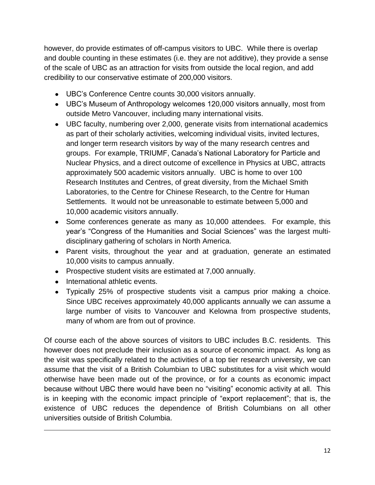however, do provide estimates of off-campus visitors to UBC. While there is overlap and double counting in these estimates (i.e. they are not additive), they provide a sense of the scale of UBC as an attraction for visits from outside the local region, and add credibility to our conservative estimate of 200,000 visitors.

- UBC's Conference Centre counts 30,000 visitors annually.
- UBC's Museum of Anthropology welcomes 120,000 visitors annually, most from outside Metro Vancouver, including many international visits.
- UBC faculty, numbering over 2,000, generate visits from international academics as part of their scholarly activities, welcoming individual visits, invited lectures, and longer term research visitors by way of the many research centres and groups. For example, TRIUMF, Canada's National Laboratory for Particle and Nuclear Physics, and a direct outcome of excellence in Physics at UBC, attracts approximately 500 academic visitors annually. UBC is home to over 100 Research Institutes and Centres, of great diversity, from the Michael Smith Laboratories, to the Centre for Chinese Research, to the Centre for Human Settlements. It would not be unreasonable to estimate between 5,000 and 10,000 academic visitors annually.
- Some conferences generate as many as 10,000 attendees. For example, this year's "Congress of the Humanities and Social Sciences" was the largest multidisciplinary gathering of scholars in North America.
- Parent visits, throughout the year and at graduation, generate an estimated 10,000 visits to campus annually.
- Prospective student visits are estimated at 7,000 annually.
- International athletic events.

 $\overline{a}$ 

Typically 25% of prospective students visit a campus prior making a choice. Since UBC receives approximately 40,000 applicants annually we can assume a large number of visits to Vancouver and Kelowna from prospective students, many of whom are from out of province.

Of course each of the above sources of visitors to UBC includes B.C. residents. This however does not preclude their inclusion as a source of economic impact. As long as the visit was specifically related to the activities of a top tier research university, we can assume that the visit of a British Columbian to UBC substitutes for a visit which would otherwise have been made out of the province, or for a counts as economic impact because without UBC there would have been no "visiting" economic activity at all. This is in keeping with the economic impact principle of "export replacement"; that is, the existence of UBC reduces the dependence of British Columbians on all other universities outside of British Columbia.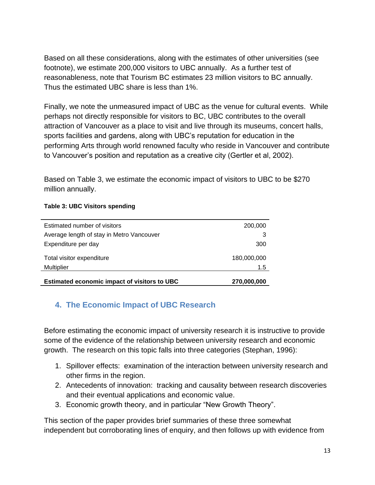Based on all these considerations, along with the estimates of other universities (see footnote), we estimate 200,000 visitors to UBC annually. As a further test of reasonableness, note that Tourism BC estimates 23 million visitors to BC annually. Thus the estimated UBC share is less than 1%.

Finally, we note the unmeasured impact of UBC as the venue for cultural events. While perhaps not directly responsible for visitors to BC, UBC contributes to the overall attraction of Vancouver as a place to visit and live through its museums, concert halls, sports facilities and gardens, along with UBC's reputation for education in the performing Arts through world renowned faculty who reside in Vancouver and contribute to Vancouver's position and reputation as a creative city (Gertler et al, 2002).

Based on Table 3, we estimate the economic impact of visitors to UBC to be \$270 million annually.

#### **Table 3: UBC Visitors spending**

| Multiplier                                | 1.5         |
|-------------------------------------------|-------------|
| Total visitor expenditure                 | 180,000,000 |
| Expenditure per day                       | 300         |
| Average length of stay in Metro Vancouver |             |
| Estimated number of visitors              | 200,000     |

# **4. The Economic Impact of UBC Research**

Before estimating the economic impact of university research it is instructive to provide some of the evidence of the relationship between university research and economic growth. The research on this topic falls into three categories (Stephan, 1996):

- 1. Spillover effects: examination of the interaction between university research and other firms in the region.
- 2. Antecedents of innovation: tracking and causality between research discoveries and their eventual applications and economic value.
- 3. Economic growth theory, and in particular "New Growth Theory".

This section of the paper provides brief summaries of these three somewhat independent but corroborating lines of enquiry, and then follows up with evidence from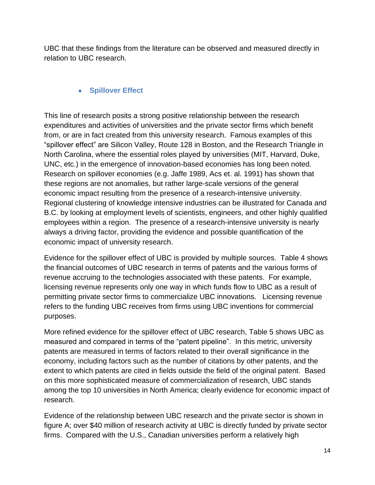UBC that these findings from the literature can be observed and measured directly in relation to UBC research.

#### **• Spillover Effect**

This line of research posits a strong positive relationship between the research expenditures and activities of universities and the private sector firms which benefit from, or are in fact created from this university research. Famous examples of this "spillover effect" are Silicon Valley, Route 128 in Boston, and the Research Triangle in North Carolina, where the essential roles played by universities (MIT, Harvard, Duke, UNC, etc.) in the emergence of innovation-based economies has long been noted. Research on spillover economies (e.g. Jaffe 1989, Acs et. al. 1991) has shown that these regions are not anomalies, but rather large-scale versions of the general economic impact resulting from the presence of a research-intensive university. Regional clustering of knowledge intensive industries can be illustrated for Canada and B.C. by looking at employment levels of scientists, engineers, and other highly qualified employees within a region. The presence of a research-intensive university is nearly always a driving factor, providing the evidence and possible quantification of the economic impact of university research.

Evidence for the spillover effect of UBC is provided by multiple sources. Table 4 shows the financial outcomes of UBC research in terms of patents and the various forms of revenue accruing to the technologies associated with these patents. For example, licensing revenue represents only one way in which funds flow to UBC as a result of permitting private sector firms to commercialize UBC innovations. Licensing revenue refers to the funding UBC receives from firms using UBC inventions for commercial purposes.

More refined evidence for the spillover effect of UBC research, Table 5 shows UBC as measured and compared in terms of the "patent pipeline". In this metric, university patents are measured in terms of factors related to their overall significance in the economy, including factors such as the number of citations by other patents, and the extent to which patents are cited in fields outside the field of the original patent. Based on this more sophisticated measure of commercialization of research, UBC stands among the top 10 universities in North America; clearly evidence for economic impact of research.

Evidence of the relationship between UBC research and the private sector is shown in figure A; over \$40 million of research activity at UBC is directly funded by private sector firms. Compared with the U.S., Canadian universities perform a relatively high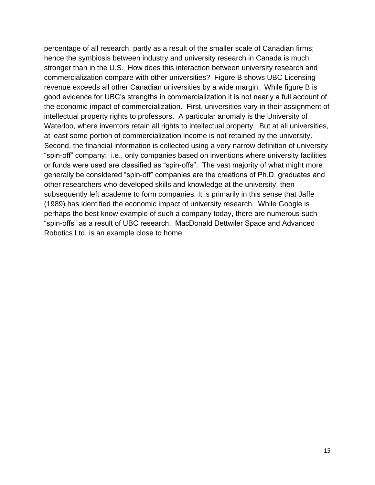percentage of all research, partly as a result of the smaller scale of Canadian firms; hence the symbiosis between industry and university research in Canada is much stronger than in the U.S. How does this interaction between university research and commercialization compare with other universities? Figure B shows UBC Licensing revenue exceeds all other Canadian universities by a wide margin. While figure B is good evidence for UBC's strengths in commercialization it is not nearly a full account of the economic impact of commercialization. First, universities vary in their assignment of intellectual property rights to professors. A particular anomaly is the University of Waterloo, where inventors retain all rights to intellectual property. But at all universities, at least some portion of commercialization income is not retained by the university. Second, the financial information is collected using a very narrow definition of university "spin-off" company: i.e., only companies based on inventions where university facilities or funds were used are classified as "spin-offs". The vast majority of what might more generally be considered "spin-off" companies are the creations of Ph.D. graduates and other researchers who developed skills and knowledge at the university, then subsequently left academe to form companies. It is primarily in this sense that Jaffe (1989) has identified the economic impact of university research. While Google is perhaps the best know example of such a company today, there are numerous such "spin-offs" as a result of UBC research. MacDonald Dettwiler Space and Advanced Robotics Ltd. is an example close to home.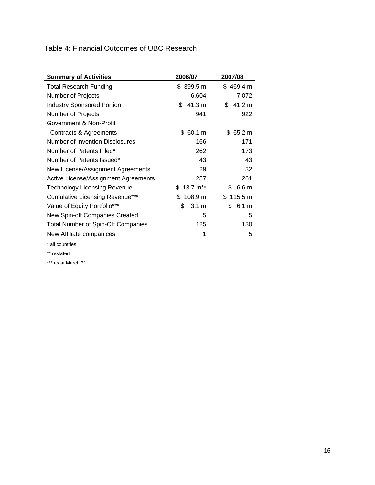Table 4: Financial Outcomes of UBC Research

| <b>Summary of Activities</b>              | 2006/07      | 2007/08                |
|-------------------------------------------|--------------|------------------------|
| <b>Total Research Funding</b>             | \$399.5 m    | \$469.4 m              |
| Number of Projects                        | 6,604        | 7,072                  |
| <b>Industry Sponsored Portion</b>         | \$<br>41.3 m | 41.2 m<br>\$           |
| Number of Projects                        | 941          | 922                    |
| Government & Non-Profit                   |              |                        |
| Contracts & Agreements                    | 60.1 m<br>S. | \$65.2 m               |
| Number of Invention Disclosures           | 166          | 171                    |
| Number of Patents Filed*                  | 262          | 173                    |
| Number of Patents Issued*                 | 43           | 43                     |
| New License/Assignment Agreements         | 29           | 32                     |
| Active License/Assignment Agreements      | 257          | 261                    |
| <b>Technology Licensing Revenue</b>       | $$13.7 m**$  | \$<br>6.6 <sub>m</sub> |
| <b>Cumulative Licensing Revenue***</b>    | \$108.9 m    | \$115.5 m              |
| Value of Equity Portfolio***              | \$<br>3.1 m  | \$<br>6.1 m            |
| New Spin-off Companies Created            | 5            | 5                      |
| <b>Total Number of Spin-Off Companies</b> | 125          | 130                    |
| New Affiliate companices                  | 1            | 5                      |

\* all countries

\*\* restated

\*\*\* as at March 31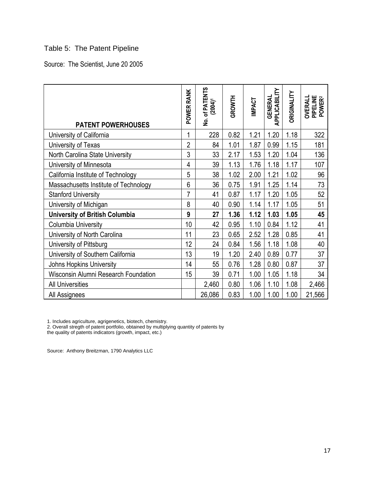# Table 5: The Patent Pipeline

Source: The Scientist, June 20 2005

| <b>PATENT POWERHOUSES</b>                   | POWER RANK     | <b>No. of PATENTS</b><br>(2004) <sup>1</sup> | GROWTH | <b>IMPACT</b> | APPLICABILITY<br><b>GENERAL</b> | <b><i>ORIGINALITY</i></b> | PIPELINE<br>POWER <sup>2</sup><br><b>OVERALL</b> |
|---------------------------------------------|----------------|----------------------------------------------|--------|---------------|---------------------------------|---------------------------|--------------------------------------------------|
| University of California                    | 1              | 228                                          | 0.82   | 1.21          | 1.20                            | 1.18                      | 322                                              |
| University of Texas                         | $\overline{2}$ | 84                                           | 1.01   | 1.87          | 0.99                            | 1.15                      | 181                                              |
| North Carolina State University             | 3              | 33                                           | 2.17   | 1.53          | 1.20                            | 1.04                      | 136                                              |
| University of Minnesota                     | $\overline{4}$ | 39                                           | 1.13   | 1.76          | 1.18                            | 1.17                      | 107                                              |
| California Institute of Technology          | 5              | 38                                           | 1.02   | 2.00          | 1.21                            | 1.02                      | 96                                               |
| Massachusetts Institute of Technology       | $6\phantom{a}$ | 36                                           | 0.75   | 1.91          | 1.25                            | 1.14                      | 73                                               |
| <b>Stanford University</b>                  | 7              | 41                                           | 0.87   | 1.17          | 1.20                            | 1.05                      | 52                                               |
| University of Michigan                      | 8              | 40                                           | 0.90   | 1.14          | 1.17                            | 1.05                      | 51                                               |
| <b>University of British Columbia</b>       | 9              | 27                                           | 1.36   | 1.12          | 1.03                            | 1.05                      | 45                                               |
| Columbia University                         | 10             | 42                                           | 0.95   | 1.10          | 0.84                            | 1.12                      | 41                                               |
| University of North Carolina                | 11             | 23                                           | 0.65   | 2.52          | 1.28                            | 0.85                      | 41                                               |
| University of Pittsburg                     | 12             | 24                                           | 0.84   | 1.56          | 1.18                            | 1.08                      | 40                                               |
| University of Southern California           | 13             | 19                                           | 1.20   | 2.40          | 0.89                            | 0.77                      | 37                                               |
| Johns Hopkins University                    | 14             | 55                                           | 0.76   | 1.28          | 0.80                            | 0.87                      | 37                                               |
| <b>Wisconsin Alumni Research Foundation</b> | 15             | 39                                           | 0.71   | 1.00          | 1.05                            | 1.18                      | 34                                               |
| <b>All Universities</b>                     |                | 2,460                                        | 0.80   | 1.06          | 1.10                            | 1.08                      | 2,466                                            |
| All Assignees                               |                | 26,086                                       | 0.83   | 1.00          | 1.00                            | 1.00                      | 21,566                                           |

1. Includes agriculture, agrigenetics, biotech, chemistry.

2. Overall stregth of patent portfolio, obtained by multiplying quantity of patents by

the quality of patents indicators (growth, impact, etc.)

Source: Anthony Breitzman, 1790 Analytics LLC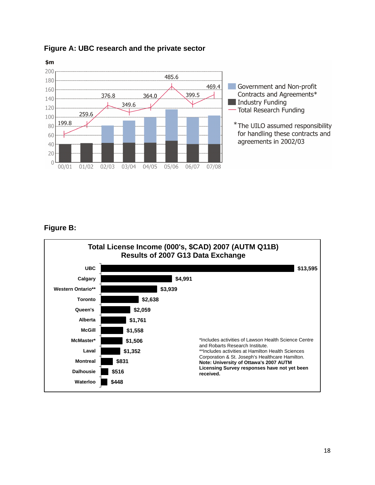

#### **Figure A: UBC research and the private sector**

#### **Figure B:**

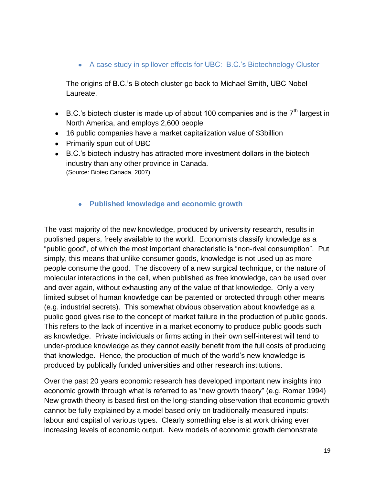A case study in spillover effects for UBC: B.C.'s Biotechnology Cluster

The origins of B.C.'s Biotech cluster go back to Michael Smith, UBC Nobel Laureate.

- B.C.'s biotech cluster is made up of about 100 companies and is the  $7<sup>th</sup>$  largest in North America, and employs 2,600 people
- 16 public companies have a market capitalization value of \$3billion
- Primarily spun out of UBC
- B.C.'s biotech industry has attracted more investment dollars in the biotech industry than any other province in Canada. (Source: Biotec Canada, 2007)
	- **Published knowledge and economic growth**

The vast majority of the new knowledge, produced by university research, results in published papers, freely available to the world. Economists classify knowledge as a "public good", of which the most important characteristic is "non-rival consumption". Put simply, this means that unlike consumer goods, knowledge is not used up as more people consume the good. The discovery of a new surgical technique, or the nature of molecular interactions in the cell, when published as free knowledge, can be used over and over again, without exhausting any of the value of that knowledge. Only a very limited subset of human knowledge can be patented or protected through other means (e.g. industrial secrets). This somewhat obvious observation about knowledge as a public good gives rise to the concept of market failure in the production of public goods. This refers to the lack of incentive in a market economy to produce public goods such as knowledge. Private individuals or firms acting in their own self-interest will tend to under-produce knowledge as they cannot easily benefit from the full costs of producing that knowledge. Hence, the production of much of the world's new knowledge is produced by publically funded universities and other research institutions.

Over the past 20 years economic research has developed important new insights into economic growth through what is referred to as "new growth theory" (e.g. Romer 1994) New growth theory is based first on the long-standing observation that economic growth cannot be fully explained by a model based only on traditionally measured inputs: labour and capital of various types. Clearly something else is at work driving ever increasing levels of economic output. New models of economic growth demonstrate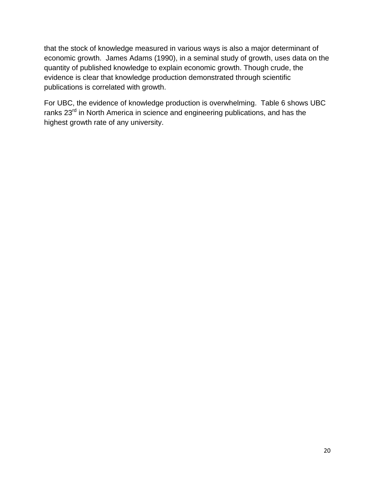that the stock of knowledge measured in various ways is also a major determinant of economic growth. James Adams (1990), in a seminal study of growth, uses data on the quantity of published knowledge to explain economic growth. Though crude, the evidence is clear that knowledge production demonstrated through scientific publications is correlated with growth.

For UBC, the evidence of knowledge production is overwhelming. Table 6 shows UBC ranks 23<sup>rd</sup> in North America in science and engineering publications, and has the highest growth rate of any university.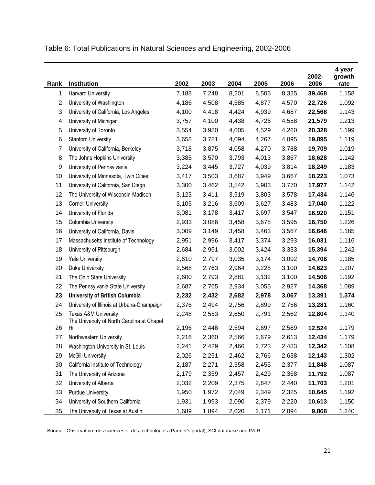Table 6: Total Publications in Natural Sciences and Engineering, 2002-2006

| Rank           | Institution                                                                   | 2002  | 2003  | 2004  | 2005  | 2006  | 2002-<br>2006 | 4 year<br>growth<br>rate |
|----------------|-------------------------------------------------------------------------------|-------|-------|-------|-------|-------|---------------|--------------------------|
| 1              | <b>Harvard University</b>                                                     | 7,188 | 7,248 | 8,201 | 8,506 | 8,325 | 39,468        | 1.158                    |
| $\overline{c}$ | University of Washington                                                      | 4,186 | 4,508 | 4,585 | 4,877 | 4,570 | 22,726        | 1.092                    |
| 3              | University of California, Los Angeles                                         | 4,100 | 4,418 | 4,424 | 4,939 | 4,687 | 22,568        | 1.143                    |
| 4              | University of Michigan                                                        | 3,757 | 4,100 | 4,438 | 4,726 | 4,558 | 21,579        | 1.213                    |
| 5              | University of Toronto                                                         | 3,554 | 3,980 | 4,005 | 4,529 | 4,260 | 20,328        | 1.199                    |
| 6              | <b>Stanford University</b>                                                    | 3,658 | 3,781 | 4,094 | 4,267 | 4,095 | 19,895        | 1.119                    |
| $\overline{7}$ | University of California, Berkeley                                            | 3,718 | 3,875 | 4,058 | 4,270 | 3,788 | 19,709        | 1.019                    |
| 8              | The Johns Hopkins University                                                  | 3,385 | 3,570 | 3,793 | 4,013 | 3,867 | 18,628        | 1.142                    |
| 9              | University of Pennsylvania                                                    | 3,224 | 3,445 | 3,727 | 4,039 | 3,814 | 18,249        | 1.183                    |
| 10             | University of Minnesota, Twin Cities                                          | 3,417 | 3,503 | 3,687 | 3,949 | 3,667 | 18,223        | 1.073                    |
| 11             | University of California, San Diego                                           | 3,300 | 3,462 | 3,542 | 3,903 | 3,770 | 17,977        | 1.142                    |
| 12             | The University of Wisconsin-Madison                                           | 3,123 | 3,411 | 3,519 | 3,803 | 3,578 | 17,434        | 1.146                    |
| 13             | <b>Cornell University</b>                                                     | 3,105 | 3,216 | 3,609 | 3,627 | 3,483 | 17,040        | 1.122                    |
| 14             | University of Florida                                                         | 3,081 | 3,178 | 3,417 | 3,697 | 3,547 | 16,920        | 1.151                    |
| 15             | Columbia University                                                           | 2,933 | 3,086 | 3,458 | 3,678 | 3,595 | 16,750        | 1.226                    |
| 16             | University of California, Davis                                               | 3,009 | 3,149 | 3,458 | 3,463 | 3,567 | 16,646        | 1.185                    |
| 17             | Massachusetts Institute of Technology                                         | 2,951 | 2,996 | 3,417 | 3,374 | 3,293 | 16,031        | 1.116                    |
| 18             | University of Pittsburgh                                                      | 2,684 | 2,951 | 3,002 | 3,424 | 3,333 | 15,394        | 1.242                    |
| 19             | <b>Yale University</b>                                                        | 2,610 | 2,797 | 3,035 | 3,174 | 3,092 | 14,708        | 1.185                    |
| 20             | Duke University                                                               | 2,568 | 2,763 | 2,964 | 3,228 | 3,100 | 14,623        | 1.207                    |
| 21             | The Ohio State University                                                     | 2,600 | 2,793 | 2,881 | 3,132 | 3,100 | 14,506        | 1.192                    |
| 22             | The Pennsylvania State University                                             | 2,687 | 2,765 | 2,934 | 3,055 | 2,927 | 14,368        | 1.089                    |
| 23             | University of British Columbia                                                | 2,232 | 2,432 | 2,682 | 2,978 | 3,067 | 13,391        | 1.374                    |
| 24             | University of Illinois at Urbana-Champaign                                    | 2,376 | 2,494 | 2,756 | 2,899 | 2,756 | 13,281        | 1.160                    |
| 25             | <b>Texas A&amp;M University</b><br>The University of North Carolina at Chapel | 2,248 | 2,553 | 2,650 | 2,791 | 2,562 | 12,804        | 1.140                    |
| 26             | Hill                                                                          | 2,196 | 2,448 | 2,594 | 2,697 | 2,589 | 12,524        | 1.179                    |
| 27             | Northwestern University                                                       | 2,216 | 2,360 | 2,566 | 2,679 | 2,613 | 12,434        | 1.179                    |
| 28             | Washington University in St. Louis                                            | 2,241 | 2,429 | 2,466 | 2,723 | 2,483 | 12,342        | 1.108                    |
| 29             | <b>McGill University</b>                                                      | 2,026 | 2,251 | 2,462 | 2,766 | 2,638 | 12,143        | 1.302                    |
| 30             | California Institute of Technology                                            | 2,187 | 2,271 | 2,558 | 2,455 | 2,377 | 11,848        | 1.087                    |
| 31             | The University of Arizona                                                     | 2,179 | 2,359 | 2,457 | 2,429 | 2,368 | 11,792        | 1.087                    |
| 32             | University of Alberta                                                         | 2,032 | 2,209 | 2,375 | 2,647 | 2,440 | 11,703        | 1.201                    |
| 33             | <b>Purdue University</b>                                                      | 1,950 | 1,972 | 2,049 | 2,349 | 2,325 | 10,645        | 1.192                    |
| 34             | University of Southern California                                             | 1,931 | 1,993 | 2,090 | 2,379 | 2,220 | 10,613        | 1.150                    |
| 35             | The University of Texas at Austin                                             | 1,689 | 1,894 | 2,020 | 2,171 | 2,094 | 9,868         | 1.240                    |

Source: Observatoire des sciences et des technologies (Partner's portal), SCI database and PAIR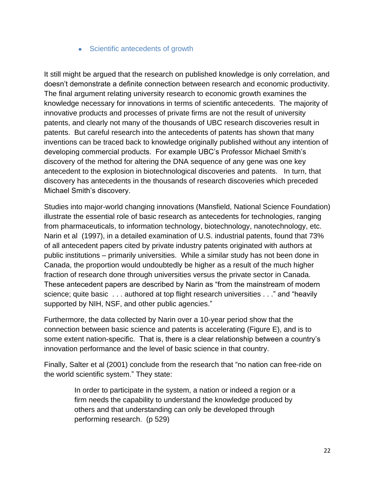#### • Scientific antecedents of growth

It still might be argued that the research on published knowledge is only correlation, and doesn't demonstrate a definite connection between research and economic productivity. The final argument relating university research to economic growth examines the knowledge necessary for innovations in terms of scientific antecedents. The majority of innovative products and processes of private firms are not the result of university patents, and clearly not many of the thousands of UBC research discoveries result in patents. But careful research into the antecedents of patents has shown that many inventions can be traced back to knowledge originally published without any intention of developing commercial products. For example UBC's Professor Michael Smith's discovery of the method for altering the DNA sequence of any gene was one key antecedent to the explosion in biotechnological discoveries and patents. In turn, that discovery has antecedents in the thousands of research discoveries which preceded Michael Smith's discovery.

Studies into major-world changing innovations (Mansfield, National Science Foundation) illustrate the essential role of basic research as antecedents for technologies, ranging from pharmaceuticals, to information technology, biotechnology, nanotechnology, etc. Narin et al (1997), in a detailed examination of U.S. industrial patents, found that 73% of all antecedent papers cited by private industry patents originated with authors at public institutions – primarily universities. While a similar study has not been done in Canada, the proportion would undoubtedly be higher as a result of the much higher fraction of research done through universities versus the private sector in Canada. These antecedent papers are described by Narin as "from the mainstream of modern science; quite basic . . . authored at top flight research universities . . ." and "heavily supported by NIH, NSF, and other public agencies."

Furthermore, the data collected by Narin over a 10-year period show that the connection between basic science and patents is accelerating (Figure E), and is to some extent nation-specific. That is, there is a clear relationship between a country's innovation performance and the level of basic science in that country.

Finally, Salter et al (2001) conclude from the research that "no nation can free-ride on the world scientific system." They state:

> In order to participate in the system, a nation or indeed a region or a firm needs the capability to understand the knowledge produced by others and that understanding can only be developed through performing research. (p 529)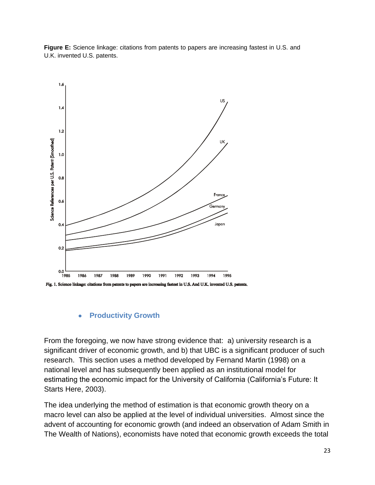**Figure E:** Science linkage: citations from patents to papers are increasing fastest in U.S. and U.K. invented U.S. patents.



Fig. 1. Science linkage: citations from patents to papers are increasing fastest in U.S. And U.K. invented U.S. patents.

#### **Productivity Growth**  $\bullet$

From the foregoing, we now have strong evidence that: a) university research is a significant driver of economic growth, and b) that UBC is a significant producer of such research. This section uses a method developed by Fernand Martin (1998) on a national level and has subsequently been applied as an institutional model for estimating the economic impact for the University of California (California's Future: It Starts Here, 2003).

The idea underlying the method of estimation is that economic growth theory on a macro level can also be applied at the level of individual universities. Almost since the advent of accounting for economic growth (and indeed an observation of Adam Smith in The Wealth of Nations), economists have noted that economic growth exceeds the total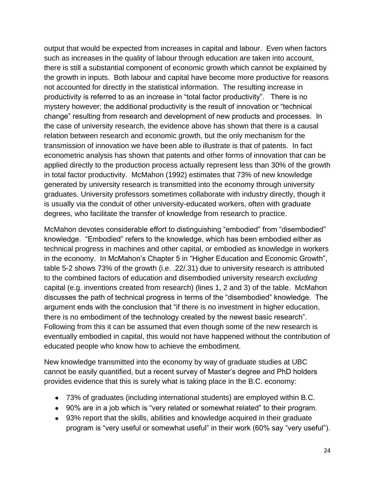output that would be expected from increases in capital and labour. Even when factors such as increases in the quality of labour through education are taken into account, there is still a substantial component of economic growth which cannot be explained by the growth in inputs. Both labour and capital have become more productive for reasons not accounted for directly in the statistical information. The resulting increase in productivity is referred to as an increase in "total factor productivity". There is no mystery however; the additional productivity is the result of innovation or "technical change" resulting from research and development of new products and processes. In the case of university research, the evidence above has shown that there is a causal relation between research and economic growth, but the only mechanism for the transmission of innovation we have been able to illustrate is that of patents. In fact econometric analysis has shown that patents and other forms of innovation that can be applied directly to the production process actually represent less than 30% of the growth in total factor productivity. McMahon (1992) estimates that 73% of new knowledge generated by university research is transmitted into the economy through university graduates. University professors sometimes collaborate with industry directly, though it is usually via the conduit of other university-educated workers, often with graduate degrees, who facilitate the transfer of knowledge from research to practice.

McMahon devotes considerable effort to distinguishing "embodied" from "disembodied" knowledge. "Embodied" refers to the knowledge, which has been embodied either as technical progress in machines and other capital, or embodied as knowledge in workers in the economy. In McMahon's Chapter 5 in "Higher Education and Economic Growth", table 5-2 shows 73% of the growth (i.e. .22/.31) due to university research is attributed to the combined factors of education and disembodied university research *excluding* capital (e.g. inventions created from research) (lines 1, 2 and 3) of the table. McMahon discusses the path of technical progress in terms of the "disembodied" knowledge. The argument ends with the conclusion that "if there is no investment in higher education, there is no embodiment of the technology created by the newest basic research". Following from this it can be assumed that even though some of the new research is eventually embodied in capital, this would not have happened without the contribution of educated people who know how to achieve the embodiment.

New knowledge transmitted into the economy by way of graduate studies at UBC cannot be easily quantified, but a recent survey of Master's degree and PhD holders provides evidence that this is surely what is taking place in the B.C. economy:

- 73% of graduates (including international students) are employed within B.C.
- 90% are in a job which is "very related or somewhat related" to their program.
- 93% report that the skills, abilities and knowledge acquired in their graduate program is "very useful or somewhat useful" in their work (60% say "very useful").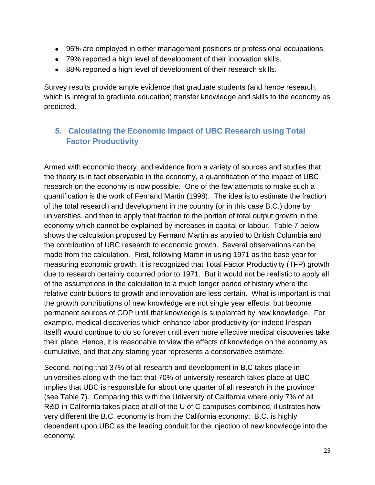- 95% are employed in either management positions or professional occupations.
- 79% reported a high level of development of their innovation skills.
- 88% reported a high level of development of their research skills.

Survey results provide ample evidence that graduate students (and hence research, which is integral to graduate education) transfer knowledge and skills to the economy as predicted.

# **5. Calculating the Economic Impact of UBC Research using Total Factor Productivity**

Armed with economic theory, and evidence from a variety of sources and studies that the theory is in fact observable in the economy, a quantification of the impact of UBC research on the economy is now possible. One of the few attempts to make such a quantification is the work of Fernand Martin (1998). The idea is to estimate the fraction of the total research and development in the country (or in this case B.C.) done by universities, and then to apply that fraction to the portion of total output growth in the economy which cannot be explained by increases in capital or labour. Table 7 below shows the calculation proposed by Fernand Martin as applied to British Columbia and the contribution of UBC research to economic growth. Several observations can be made from the calculation. First, following Martin in using 1971 as the base year for measuring economic growth, it is recognized that Total Factor Productivity (TFP) growth due to research certainly occurred prior to 1971. But it would not be realistic to apply all of the assumptions in the calculation to a much longer period of history where the relative contributions to growth and innovation are less certain. What is important is that the growth contributions of new knowledge are not single year effects, but become permanent sources of GDP until that knowledge is supplanted by new knowledge. For example, medical discoveries which enhance labor productivity (or indeed lifespan itself) would continue to do so forever until even more effective medical discoveries take their place. Hence, it is reasonable to view the effects of knowledge on the economy as cumulative, and that any starting year represents a conservative estimate.

Second, noting that 37% of all research and development in B.C takes place in universities along with the fact that 70% of university research takes place at UBC implies that UBC is responsible for about one quarter of all research in the province (see Table 7). Comparing this with the University of California where only 7% of all R&D in California takes place at all of the U of C campuses combined, illustrates how very different the B.C. economy is from the California economy: B.C. is highly dependent upon UBC as the leading conduit for the injection of new knowledge into the economy.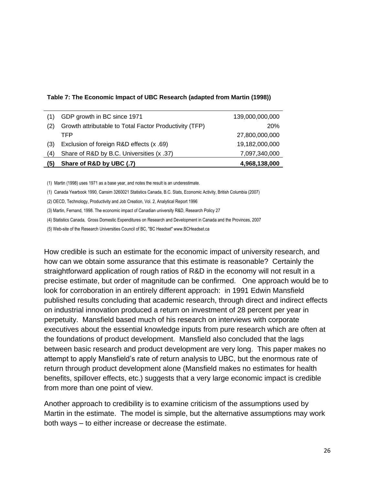#### **Table 7: The Economic Impact of UBC Research (adapted from Martin (1998))**

| Share of R&D by B.C. Universities (x .37)              | 7,097,340,000   |
|--------------------------------------------------------|-----------------|
| Exclusion of foreign R&D effects (x .69)               | 19,182,000,000  |
| TFP                                                    | 27,800,000,000  |
| Growth attributable to Total Factor Productivity (TFP) | <b>20%</b>      |
| GDP growth in BC since 1971                            | 139,000,000,000 |
|                                                        |                 |

(1) Martin (1998) uses 1971 as a base year, and notes the result is an underestimate.

(1) Canada Yearbook 1990, Cansim 3260021 Statistics Canada, B.C. Stats, Economic Activity, British Columbia (2007)

(2) OECD, Technology, Productivity and Job Creation, Vol. 2, Analytical Report 1996

(3) Martin, Fernand, 1998. The economic impact of Canadian university R&D, Research Policy 27

(4) Statistics Canada, Gross Domestic Expenditures on Research and Development in Canada and the Provinces, 2007

(5) Web-site of the Research Universities Council of BC, "BC Headset" www.BCHeadset.ca

How credible is such an estimate for the economic impact of university research, and how can we obtain some assurance that this estimate is reasonable? Certainly the straightforward application of rough ratios of R&D in the economy will not result in a precise estimate, but order of magnitude can be confirmed. One approach would be to look for corroboration in an entirely different approach: in 1991 Edwin Mansfield published results concluding that academic research, through direct and indirect effects on industrial innovation produced a return on investment of 28 percent per year in perpetuity. Mansfield based much of his research on interviews with corporate executives about the essential knowledge inputs from pure research which are often at the foundations of product development. Mansfield also concluded that the lags between basic research and product development are very long. This paper makes no attempt to apply Mansfield's rate of return analysis to UBC, but the enormous rate of return through product development alone (Mansfield makes no estimates for health benefits, spillover effects, etc.) suggests that a very large economic impact is credible from more than one point of view.

Another approach to credibility is to examine criticism of the assumptions used by Martin in the estimate. The model is simple, but the alternative assumptions may work both ways – to either increase or decrease the estimate.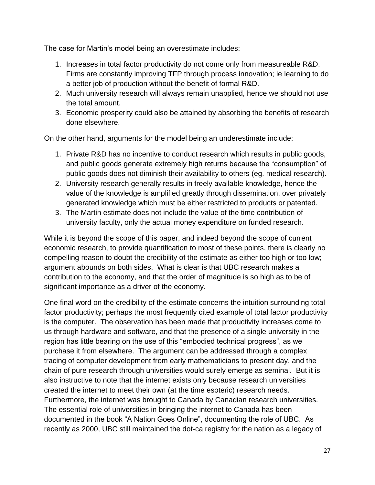The case for Martin's model being an overestimate includes:

- 1. Increases in total factor productivity do not come only from measureable R&D. Firms are constantly improving TFP through process innovation; ie learning to do a better job of production without the benefit of formal R&D.
- 2. Much university research will always remain unapplied, hence we should not use the total amount.
- 3. Economic prosperity could also be attained by absorbing the benefits of research done elsewhere.

On the other hand, arguments for the model being an underestimate include:

- 1. Private R&D has no incentive to conduct research which results in public goods, and public goods generate extremely high returns because the "consumption" of public goods does not diminish their availability to others (eg. medical research).
- 2. University research generally results in freely available knowledge, hence the value of the knowledge is amplified greatly through dissemination, over privately generated knowledge which must be either restricted to products or patented.
- 3. The Martin estimate does not include the value of the time contribution of university faculty, only the actual money expenditure on funded research.

While it is beyond the scope of this paper, and indeed beyond the scope of current economic research, to provide quantification to most of these points, there is clearly no compelling reason to doubt the credibility of the estimate as either too high or too low; argument abounds on both sides. What is clear is that UBC research makes a contribution to the economy, and that the order of magnitude is so high as to be of significant importance as a driver of the economy.

One final word on the credibility of the estimate concerns the intuition surrounding total factor productivity; perhaps the most frequently cited example of total factor productivity is the computer. The observation has been made that productivity increases come to us through hardware and software, and that the presence of a single university in the region has little bearing on the use of this "embodied technical progress", as we purchase it from elsewhere. The argument can be addressed through a complex tracing of computer development from early mathematicians to present day, and the chain of pure research through universities would surely emerge as seminal. But it is also instructive to note that the internet exists only because research universities created the internet to meet their own (at the time esoteric) research needs. Furthermore, the internet was brought to Canada by Canadian research universities. The essential role of universities in bringing the internet to Canada has been documented in the book "A Nation Goes Online", documenting the role of UBC. As recently as 2000, UBC still maintained the dot-ca registry for the nation as a legacy of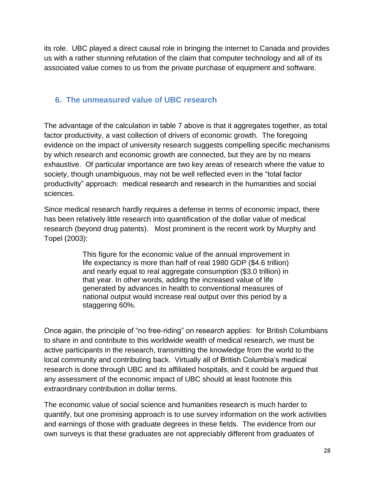its role. UBC played a direct causal role in bringing the internet to Canada and provides us with a rather stunning refutation of the claim that computer technology and all of its associated value comes to us from the private purchase of equipment and software.

# **6. The unmeasured value of UBC research**

The advantage of the calculation in table 7 above is that it aggregates together, as total factor productivity, a vast collection of drivers of economic growth. The foregoing evidence on the impact of university research suggests compelling specific mechanisms by which research and economic growth are connected, but they are by no means exhaustive. Of particular importance are two key areas of research where the value to society, though unambiguous, may not be well reflected even in the "total factor productivity" approach: medical research and research in the humanities and social sciences.

Since medical research hardly requires a defense in terms of economic impact, there has been relatively little research into quantification of the dollar value of medical research (beyond drug patents). Most prominent is the recent work by Murphy and Topel (2003):

> This figure for the economic value of the annual improvement in life expectancy is more than half of real 1980 GDP (\$4.6 trillion) and nearly equal to real aggregate consumption (\$3.0 trillion) in that year. In other words, adding the increased value of life generated by advances in health to conventional measures of national output would increase real output over this period by a staggering 60%.

Once again, the principle of "no free-riding" on research applies: for British Columbians to share in and contribute to this worldwide wealth of medical research, we must be active participants in the research, transmitting the knowledge from the world to the local community and contributing back. Virtually all of British Columbia's medical research is done through UBC and its affiliated hospitals, and it could be argued that any assessment of the economic impact of UBC should at least footnote this extraordinary contribution in dollar terms.

The economic value of social science and humanities research is much harder to quantify, but one promising approach is to use survey information on the work activities and earnings of those with graduate degrees in these fields. The evidence from our own surveys is that these graduates are not appreciably different from graduates of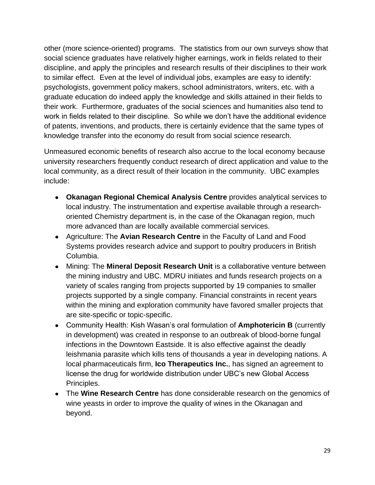other (more science-oriented) programs. The statistics from our own surveys show that social science graduates have relatively higher earnings, work in fields related to their discipline, and apply the principles and research results of their disciplines to their work to similar effect. Even at the level of individual jobs, examples are easy to identify: psychologists, government policy makers, school administrators, writers, etc. with a graduate education do indeed apply the knowledge and skills attained in their fields to their work. Furthermore, graduates of the social sciences and humanities also tend to work in fields related to their discipline. So while we don't have the additional evidence of patents, inventions, and products, there is certainly evidence that the same types of knowledge transfer into the economy do result from social science research.

Unmeasured economic benefits of research also accrue to the local economy because university researchers frequently conduct research of direct application and value to the local community, as a direct result of their location in the community. UBC examples include:

- **Okanagan Regional Chemical Analysis Centre** provides analytical services to local industry. The instrumentation and expertise available through a researchoriented Chemistry department is, in the case of the Okanagan region, much more advanced than are locally available commercial services.
- Agriculture: The **Avian Research Centre** in the Faculty of Land and Food Systems provides research advice and support to poultry producers in British Columbia.
- Mining: The **Mineral Deposit Research Unit** is a collaborative venture between the mining industry and UBC. MDRU initiates and funds research projects on a variety of scales ranging from projects supported by 19 companies to smaller projects supported by a single company. Financial constraints in recent years within the mining and exploration community have favored smaller projects that are site-specific or topic-specific.
- Community Health: Kish Wasan's oral formulation of **Amphotericin B** (currently in development) was created in response to an outbreak of blood-borne fungal infections in the Downtown Eastside. It is also effective against the deadly leishmania parasite which kills tens of thousands a year in developing nations. A local pharmaceuticals firm, **Ico Therapeutics Inc.**, has signed an agreement to license the drug for worldwide distribution under UBC's new Global Access Principles.
- The **Wine Research Centre** has done considerable research on the genomics of wine yeasts in order to improve the quality of wines in the Okanagan and beyond.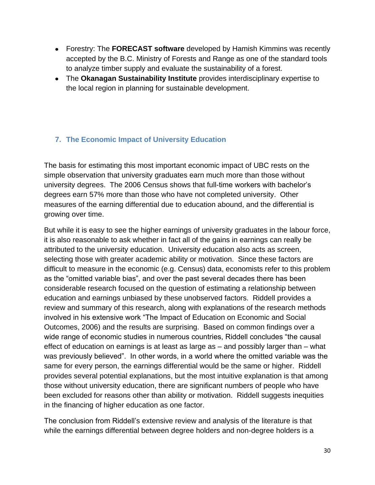- Forestry: The **FORECAST software** developed by Hamish Kimmins was recently accepted by the B.C. Ministry of Forests and Range as one of the standard tools to analyze timber supply and evaluate the sustainability of a forest.
- The **Okanagan Sustainability Institute** provides interdisciplinary expertise to the local region in planning for sustainable development.

### **7. The Economic Impact of University Education**

The basis for estimating this most important economic impact of UBC rests on the simple observation that university graduates earn much more than those without university degrees. The 2006 Census shows that full-time workers with bachelor's degrees earn 57% more than those who have not completed university. Other measures of the earning differential due to education abound, and the differential is growing over time.

But while it is easy to see the higher earnings of university graduates in the labour force, it is also reasonable to ask whether in fact all of the gains in earnings can really be attributed to the university education. University education also acts as screen, selecting those with greater academic ability or motivation. Since these factors are difficult to measure in the economic (e.g. Census) data, economists refer to this problem as the "omitted variable bias", and over the past several decades there has been considerable research focused on the question of estimating a relationship between education and earnings unbiased by these unobserved factors. Riddell provides a review and summary of this research, along with explanations of the research methods involved in his extensive work "The Impact of Education on Economic and Social Outcomes, 2006) and the results are surprising. Based on common findings over a wide range of economic studies in numerous countries, Riddell concludes "the causal effect of education on earnings is at least as large as – and possibly larger than – what was previously believed". In other words, in a world where the omitted variable was the same for every person, the earnings differential would be the same or higher. Riddell provides several potential explanations, but the most intuitive explanation is that among those without university education, there are significant numbers of people who have been excluded for reasons other than ability or motivation. Riddell suggests inequities in the financing of higher education as one factor.

The conclusion from Riddell's extensive review and analysis of the literature is that while the earnings differential between degree holders and non-degree holders is a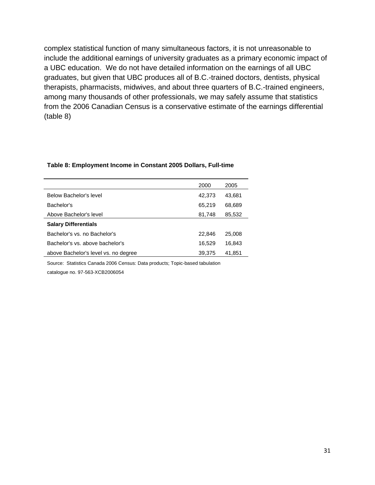complex statistical function of many simultaneous factors, it is not unreasonable to include the additional earnings of university graduates as a primary economic impact of a UBC education. We do not have detailed information on the earnings of all UBC graduates, but given that UBC produces all of B.C.-trained doctors, dentists, physical therapists, pharmacists, midwives, and about three quarters of B.C.-trained engineers, among many thousands of other professionals, we may safely assume that statistics from the 2006 Canadian Census is a conservative estimate of the earnings differential (table 8)

|                                      | 2000   | 2005   |
|--------------------------------------|--------|--------|
| Below Bachelor's level               | 42,373 | 43,681 |
| Bachelor's                           | 65,219 | 68,689 |
| Above Bachelor's level               | 81,748 | 85,532 |
| <b>Salary Differentials</b>          |        |        |
| Bachelor's vs. no Bachelor's         | 22,846 | 25,008 |
| Bachelor's vs. above bachelor's      | 16,529 | 16,843 |
| above Bachelor's level vs. no degree | 39,375 | 41,851 |

#### **Table 8: Employment Income in Constant 2005 Dollars, Full-time**

Source: Statistics Canada 2006 Census: Data products; Topic-based tabulation

catalogue no. 97-563-XCB2006054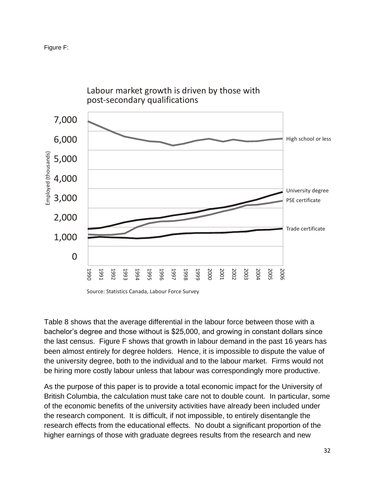



Labour market growth is driven by those with

Table 8 shows that the average differential in the labour force between those with a bachelor's degree and those without is \$25,000, and growing in constant dollars since the last census. Figure F shows that growth in labour demand in the past 16 years has been almost entirely for degree holders. Hence, it is impossible to dispute the value of the university degree, both to the individual and to the labour market. Firms would not be hiring more costly labour unless that labour was correspondingly more productive.

As the purpose of this paper is to provide a total economic impact for the University of British Columbia, the calculation must take care not to double count. In particular, some of the economic benefits of the university activities have already been included under the research component. It is difficult, if not impossible, to entirely disentangle the research effects from the educational effects. No doubt a significant proportion of the higher earnings of those with graduate degrees results from the research and new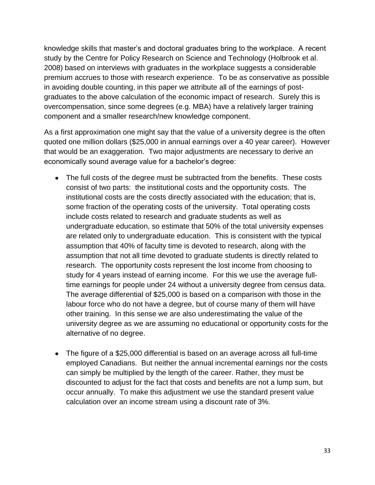knowledge skills that master's and doctoral graduates bring to the workplace. A recent study by the Centre for Policy Research on Science and Technology (Holbrook et al. 2008) based on interviews with graduates in the workplace suggests a considerable premium accrues to those with research experience. To be as conservative as possible in avoiding double counting, in this paper we attribute all of the earnings of postgraduates to the above calculation of the economic impact of research. Surely this is overcompensation, since some degrees (e.g. MBA) have a relatively larger training component and a smaller research/new knowledge component.

As a first approximation one might say that the value of a university degree is the often quoted one million dollars (\$25,000 in annual earnings over a 40 year career). However that would be an exaggeration. Two major adjustments are necessary to derive an economically sound average value for a bachelor's degree:

- The full costs of the degree must be subtracted from the benefits. These costs consist of two parts: the institutional costs and the opportunity costs. The institutional costs are the costs directly associated with the education; that is, some fraction of the operating costs of the university. Total operating costs include costs related to research and graduate students as well as undergraduate education, so estimate that 50% of the total university expenses are related only to undergraduate education. This is consistent with the typical assumption that 40% of faculty time is devoted to research, along with the assumption that not all time devoted to graduate students is directly related to research. The opportunity costs represent the lost income from choosing to study for 4 years instead of earning income. For this we use the average fulltime earnings for people under 24 without a university degree from census data. The average differential of \$25,000 is based on a comparison with those in the labour force who do not have a degree, but of course many of them will have other training. In this sense we are also underestimating the value of the university degree as we are assuming no educational or opportunity costs for the alternative of no degree.
- The figure of a \$25,000 differential is based on an average across all full-time employed Canadians. But neither the annual incremental earnings nor the costs can simply be multiplied by the length of the career. Rather, they must be discounted to adjust for the fact that costs and benefits are not a lump sum, but occur annually. To make this adjustment we use the standard present value calculation over an income stream using a discount rate of 3%.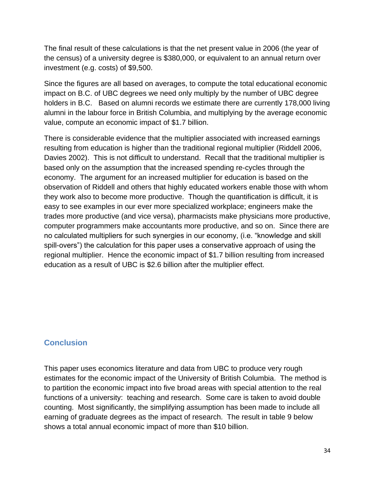The final result of these calculations is that the net present value in 2006 (the year of the census) of a university degree is \$380,000, or equivalent to an annual return over investment (e.g. costs) of \$9,500.

Since the figures are all based on averages, to compute the total educational economic impact on B.C. of UBC degrees we need only multiply by the number of UBC degree holders in B.C. Based on alumni records we estimate there are currently 178,000 living alumni in the labour force in British Columbia, and multiplying by the average economic value, compute an economic impact of \$1.7 billion.

There is considerable evidence that the multiplier associated with increased earnings resulting from education is higher than the traditional regional multiplier (Riddell 2006, Davies 2002). This is not difficult to understand. Recall that the traditional multiplier is based only on the assumption that the increased spending re-cycles through the economy. The argument for an increased multiplier for education is based on the observation of Riddell and others that highly educated workers enable those with whom they work also to become more productive. Though the quantification is difficult, it is easy to see examples in our ever more specialized workplace; engineers make the trades more productive (and vice versa), pharmacists make physicians more productive, computer programmers make accountants more productive, and so on. Since there are no calculated multipliers for such synergies in our economy, (i.e. "knowledge and skill spill-overs") the calculation for this paper uses a conservative approach of using the regional multiplier. Hence the economic impact of \$1.7 billion resulting from increased education as a result of UBC is \$2.6 billion after the multiplier effect.

### **Conclusion**

This paper uses economics literature and data from UBC to produce very rough estimates for the economic impact of the University of British Columbia. The method is to partition the economic impact into five broad areas with special attention to the real functions of a university: teaching and research. Some care is taken to avoid double counting. Most significantly, the simplifying assumption has been made to include all earning of graduate degrees as the impact of research. The result in table 9 below shows a total annual economic impact of more than \$10 billion.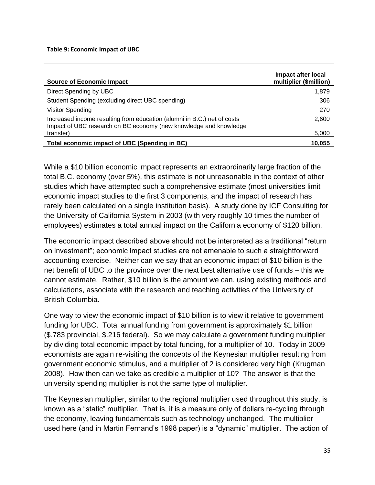#### **Table 9: Economic Impact of UBC**

| <b>Source of Economic Impact</b>                                                                                                             | Impact after local<br>multiplier (\$million) |
|----------------------------------------------------------------------------------------------------------------------------------------------|----------------------------------------------|
| Direct Spending by UBC                                                                                                                       | 1,879                                        |
| Student Spending (excluding direct UBC spending)                                                                                             | 306                                          |
| <b>Visitor Spending</b>                                                                                                                      | 270                                          |
| Increased income resulting from education (alumni in B.C.) net of costs<br>Impact of UBC research on BC economy (new knowledge and knowledge | 2,600                                        |
| transfer)                                                                                                                                    | 5,000                                        |
| Total economic impact of UBC (Spending in BC)                                                                                                | 10.055                                       |

While a \$10 billion economic impact represents an extraordinarily large fraction of the total B.C. economy (over 5%), this estimate is not unreasonable in the context of other studies which have attempted such a comprehensive estimate (most universities limit economic impact studies to the first 3 components, and the impact of research has rarely been calculated on a single institution basis). A study done by ICF Consulting for the University of California System in 2003 (with very roughly 10 times the number of employees) estimates a total annual impact on the California economy of \$120 billion.

The economic impact described above should not be interpreted as a traditional "return on investment"; economic impact studies are not amenable to such a straightforward accounting exercise. Neither can we say that an economic impact of \$10 billion is the net benefit of UBC to the province over the next best alternative use of funds – this we cannot estimate. Rather, \$10 billion is the amount we can, using existing methods and calculations, associate with the research and teaching activities of the University of British Columbia.

One way to view the economic impact of \$10 billion is to view it relative to government funding for UBC. Total annual funding from government is approximately \$1 billion (\$.783 provincial, \$.216 federal). So we may calculate a government funding multiplier by dividing total economic impact by total funding, for a multiplier of 10. Today in 2009 economists are again re-visiting the concepts of the Keynesian multiplier resulting from government economic stimulus, and a multiplier of 2 is considered very high (Krugman 2008). How then can we take as credible a multiplier of 10? The answer is that the university spending multiplier is not the same type of multiplier.

The Keynesian multiplier, similar to the regional multiplier used throughout this study, is known as a "static" multiplier. That is, it is a measure only of dollars re-cycling through the economy, leaving fundamentals such as technology unchanged. The multiplier used here (and in Martin Fernand's 1998 paper) is a "dynamic" multiplier. The action of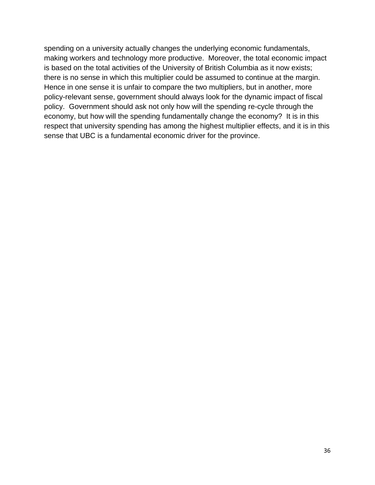spending on a university actually changes the underlying economic fundamentals, making workers and technology more productive. Moreover, the total economic impact is based on the total activities of the University of British Columbia as it now exists; there is no sense in which this multiplier could be assumed to continue at the margin. Hence in one sense it is unfair to compare the two multipliers, but in another, more policy-relevant sense, government should always look for the dynamic impact of fiscal policy. Government should ask not only how will the spending re-cycle through the economy, but how will the spending fundamentally change the economy? It is in this respect that university spending has among the highest multiplier effects, and it is in this sense that UBC is a fundamental economic driver for the province.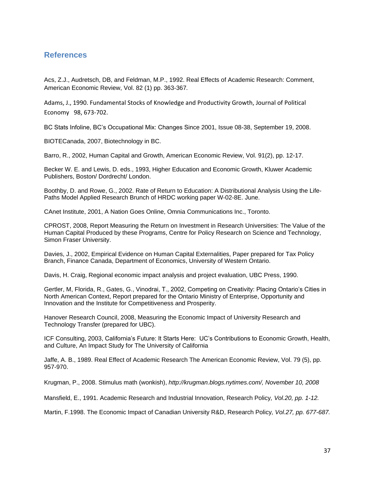#### **References**

Acs, Z.J., Audretsch, DB, and Feldman, M.P., 1992. Real Effects of Academic Research: Comment, American Economic Review, Vol. 82 (1) pp. 363-367*.*

Adams, J., 1990. Fundamental Stocks of Knowledge and Productivity Growth, Journal of Political Economy 98, 673-702.

BC Stats Infoline, BC's Occupational Mix: Changes Since 2001, Issue 08-38, September 19, 2008.

BIOTECanada, 2007, Biotechnology in BC.

Barro, R., 2002, Human Capital and Growth, American Economic Review, Vol. 91(2), pp. 12-17.

Becker W. E. and Lewis, D. eds., 1993, Higher Education and Economic Growth, Kluwer Academic Publishers, Boston/ Dordrecht/ London.

Boothby, D. and Rowe, G., 2002. Rate of Return to Education: A Distributional Analysis Using the Life-Paths Model Applied Research Brunch of HRDC working paper W-02-8E. June.

CAnet Institute, 2001, A Nation Goes Online, Omnia Communications Inc., Toronto.

CPROST, 2008, Report Measuring the Return on Investment in Research Universities: The Value of the Human Capital Produced by these Programs, Centre for Policy Research on Science and Technology, Simon Fraser University.

Davies, J., 2002, Empirical Evidence on Human Capital Externalities, Paper prepared for Tax Policy Branch, Finance Canada, Department of Economics, University of Western Ontario.

Davis, H. Craig, Regional economic impact analysis and project evaluation, UBC Press, 1990.

Gertler, M, Florida, R., Gates, G., Vinodrai, T., 2002, Competing on Creativity: Placing Ontario's Cities in North American Context, Report prepared for the Ontario Ministry of Enterprise, Opportunity and Innovation and the Institute for Competitiveness and Prosperity.

Hanover Research Council, 2008, Measuring the Economic Impact of University Research and Technology Transfer (prepared for UBC).

ICF Consulting, 2003, California's Future: It Starts Here: UC's Contributions to Economic Growth, Health, and Culture, An Impact Study for The University of California

Jaffe, A. B., 1989. Real Effect of Academic Research The American Economic Review, Vol. 79 (5), pp. 957-970.

Krugman, P., 2008. Stimulus math (wonkish), *[http://krugman.blogs.nytimes.com/,](http://krugman.blogs.nytimes.com/) November 10, 2008*

Mansfield, E., 1991. Academic Research and Industrial Innovation, Research Policy*, Vol.20, pp. 1-12.*

Martin, F.1998. The Economic Impact of Canadian University R&D, Research Policy*, Vol.27, pp. 677-687.*